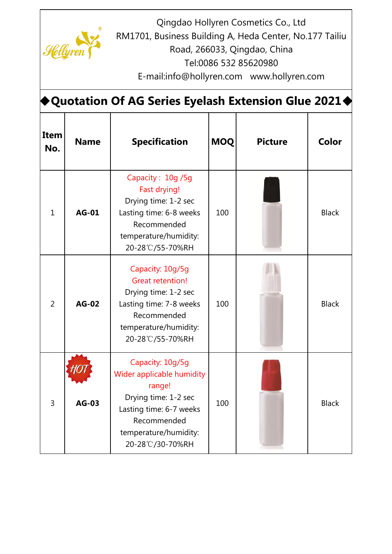

Qingdao Hollyren Cosmetics Co., Ltd

RM1701, Business Building A, Heda Center, No.177 Tailiu

Road, 266033, Qingdao, China

Tel:0086 532 85620980

E-mail:info@hollyren.com www.hollyren.com

| <b>Quotation Of AG Series Eyelash Extension Glue 2021<math>\blacklozenge</math></b> |              |                                                                                                                                                                        |            |                |              |  |
|-------------------------------------------------------------------------------------|--------------|------------------------------------------------------------------------------------------------------------------------------------------------------------------------|------------|----------------|--------------|--|
| Item<br>No.                                                                         | <b>Name</b>  | <b>Specification</b>                                                                                                                                                   | <b>MOQ</b> | <b>Picture</b> | Color        |  |
| $\mathbf{1}$                                                                        | <b>AG-01</b> | Capacity: 10g /5g<br>Fast drying!<br>Drying time: 1-2 sec<br>Lasting time: 6-8 weeks<br>Recommended<br>temperature/humidity:<br>20-28°C/55-70%RH                       | 100        |                | <b>Black</b> |  |
| $\overline{2}$                                                                      | <b>AG-02</b> | Capacity: 10g/5g<br><b>Great retention!</b><br>Drying time: 1-2 sec<br>Lasting time: 7-8 weeks<br>Recommended<br>temperature/humidity:<br>20-28°C/55-70%RH             | 100        |                | <b>Black</b> |  |
| 3                                                                                   | <b>AG-03</b> | Capacity: 10g/5g<br>Wider applicable humidity<br>range!<br>Drying time: 1-2 sec<br>Lasting time: 6-7 weeks<br>Recommended<br>temperature/humidity:<br>20-28°C/30-70%RH | 100        |                | <b>Black</b> |  |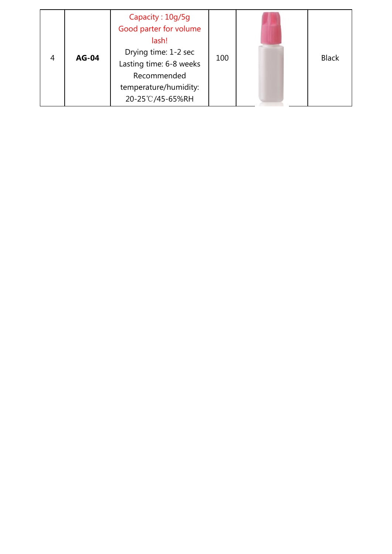| 4 | <b>AG-04</b> | Capacity: 10g/5g<br>Good parter for volume<br>lash!<br>Drying time: 1-2 sec<br>Lasting time: 6-8 weeks<br>Recommended<br>temperature/humidity:<br>20-25℃/45-65%RH | 100 |  | <b>Black</b> |
|---|--------------|-------------------------------------------------------------------------------------------------------------------------------------------------------------------|-----|--|--------------|
|---|--------------|-------------------------------------------------------------------------------------------------------------------------------------------------------------------|-----|--|--------------|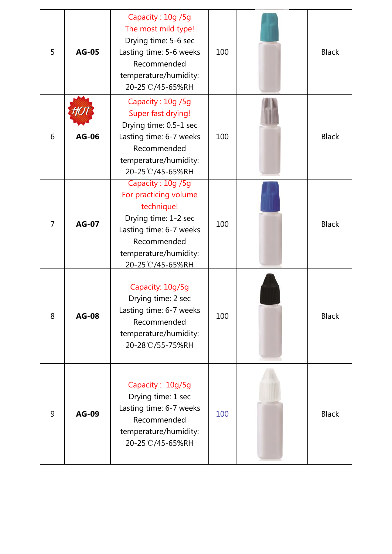| 5              | <b>AG-05</b> | Capacity: 10g /5g<br>The most mild type!<br>Drying time: 5-6 sec<br>Lasting time: 5-6 weeks<br>Recommended<br>temperature/humidity:<br>20-25°C/45-65%RH                 | 100 | <b>Black</b> |
|----------------|--------------|-------------------------------------------------------------------------------------------------------------------------------------------------------------------------|-----|--------------|
| 6              | <b>AG-06</b> | Capacity: 10g /5g<br>Super fast drying!<br>Drying time: 0.5-1 sec<br>Lasting time: 6-7 weeks<br>Recommended<br>temperature/humidity:<br>20-25℃/45-65%RH                 | 100 | <b>Black</b> |
| $\overline{7}$ | <b>AG-07</b> | Capacity: 10g /5g<br>For practicing volume<br>technique!<br>Drying time: 1-2 sec<br>Lasting time: 6-7 weeks<br>Recommended<br>temperature/humidity:<br>20-25°C/45-65%RH | 100 | <b>Black</b> |
| 8              | <b>AG-08</b> | Capacity: 10g/5g<br>Drying time: 2 sec<br>Lasting time: 6-7 weeks<br>Recommended<br>temperature/humidity:<br>20-28°C/55-75%RH                                           | 100 | <b>Black</b> |
| 9              | <b>AG-09</b> | Capacity: 10g/5g<br>Drying time: 1 sec<br>Lasting time: 6-7 weeks<br>Recommended<br>temperature/humidity:<br>20-25℃/45-65%RH                                            | 100 | <b>Black</b> |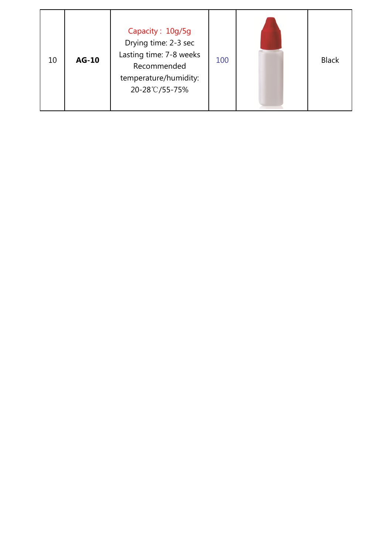| 10 | <b>AG-10</b> | Capacity: 10g/5g<br>Drying time: 2-3 sec<br>Lasting time: 7-8 weeks<br>Recommended<br>temperature/humidity:<br>20-28°C/55-75% | 100 |  | <b>Black</b> |
|----|--------------|-------------------------------------------------------------------------------------------------------------------------------|-----|--|--------------|
|----|--------------|-------------------------------------------------------------------------------------------------------------------------------|-----|--|--------------|